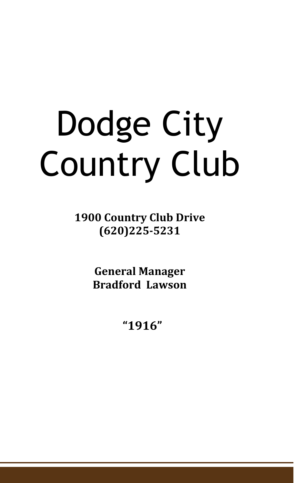# Dodge City Country Club

**1900 Country Club Drive (620)225-5231**

> **General Manager Bradford Lawson**

> > **"1916"**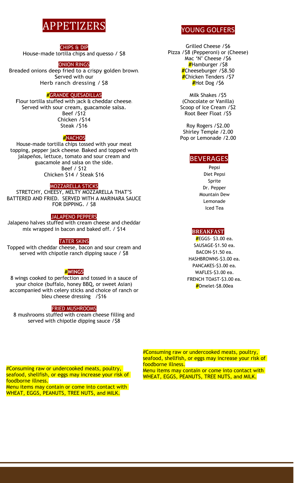## PPETIZER

#### CHIPS & DIP

House-made tortilla chips and quesso / \$8

#### ONION RINGS

Breaded onions deep fried to a crispy golden brown. Served with our Herb ranch dressing / \$8

#### **#**GRANDE QUESADILLAS

Flour tortilla stuffed with jack & cheddar cheese. Served with sour cream, guacamole salsa. Beef /\$12 Chicken /\$14 Steak /\$16

**#**NACHOS

House-made tortilla chips tossed with your meat topping, pepper jack cheese. Baked and topped with jalapeños, lettuce, tomato and sour cream and guacamole and salsa on the side. Beef / \$12 Chicken \$14 / Steak \$16

#### MOZZARELLA STICKS

STRETCHY, CHEESY, MELTY MOZZARELLA THAT'S BATTERED AND FRIED. SERVED WITH A MARINARA SAUCE FOR DIPPING. / \$8

#### JALAPENO PEPPERS

Jalapeno halves stuffed with cream cheese and cheddar mix wrapped in bacon and baked off. / \$14

#### TATER SKINS

Topped with cheddar cheese, bacon and sour cream and served with chipotle ranch dipping sauce / \$8

#### **#WINGS**

8 wings cooked to perfection and tossed in a sauce of your choice (buffalo, honey BBQ, or sweet Asian) accompanied with celery sticks and choice of ranch or bleu cheese dressing /\$16

#### FRIED MUSHROOMS

8 mushrooms stuffed with cream cheese filling and served with chipotle dipping sauce /\$8

YOUNG GOLFERS

Grilled Cheese /\$6 Pizza /\$8 (Pepperoni) or (Cheese) Mac 'N' Cheese / \$6 **#**Hamburger /\$8 **#**Cheeseburger /\$8.50 **#**Chicken Tenders /\$7 **#**Hot Dog /\$6

> Milk Shakes /\$5 (Chocolate or Vanilla) Scoop of Ice Cream /\$2 Root Beer Float /\$5

> Roy Rogers /\$2.00 Shirley Temple /2.00 Pop or Lemonade /2.00

#### BEVERAGES

Pepsi Diet Pepsi Sprite Dr. Pepper Mountain Dew Lemonade Iced Tea

#### **BREAKFAST**

**#**EGGS- \$3.00 ea. SAUSAGE-\$1.50 ea. BACON-\$1.50 ea. HASHBROWNS-\$3.00 ea. PANCAKES-\$3.00 ea. WAFLES-\$3.00 ea. FRENCH TOAST-\$3.00 ea. **#**Omelet-\$8.00ea

#Consuming raw or undercooked meats, poultry, seafood, shellfish, or eggs may increase your risk of foodborne illness.

Menu items may contain or come into contact with WHEAT, EGGS, PEANUTS, TREE NUTS, and MILK.

#Consuming raw or undercooked meats, poultry, seafood, shellfish, or eggs may increase your risk of foodborne illness. Menu items may contain or come into contact with WHEAT, EGGS, PEANUTS, TREE NUTS, and MILK.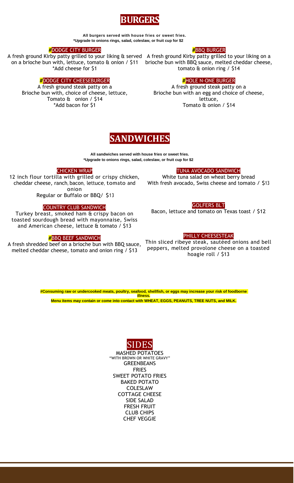

 **All burgers served with house fries or sweet fries. \*Upgrade to onions rings, salad, coleslaw, or fruit cup for \$2**

#### **#**DODGE CITY BURGER

A fresh ground Kirby patty grilled to your liking & served A fresh ground Kirby patty grilled to your liking on a on a brioche bun with, lettuce, tomato & onion / \$11 brioche bun with BBQ sauce, melted cheddar cheese, \*Add cheese for \$1

#### **#**DODGE CITY CHEESEBURGER

A fresh ground steak patty on a Brioche bun with, choice of cheese, lettuce, Tomato & onion / \$14 \*Add bacon for \$1

#### **#**BBQ BURGER

tomato & onion ring / \$14

#### **#**HOLE N-ONE BURGER

A fresh ground steak patty on a Brioche bun with an egg and choice of cheese, lettuce, Tomato & onion / \$14



**All sandwiches served with house fries or sweet fries. \*Upgrade to onions rings, salad, coleslaw, or fruit cup for \$2**

#### CHICKEN WRAP

12 inch flour tortilla with grilled or crispy chicken, cheddar cheese, ranch, bacon, lettuce, tomato and onion

Regular or Buffalo or BBQ/ \$13

#### COUNTRY CLUB SANDWICH

Turkey breast, smoked ham & crispy bacon on toasted sourdough bread with mayonnaise, Swiss and American cheese, lettuce & tomato / \$13

#### **#**BBQ BEEF SANDWICH

A fresh shredded beef on a brioche bun with BBQ sauce, melted cheddar cheese, tomato and onion ring / \$13

#### TUNA AVOCADO SANDWICH

White tuna salad on wheat berry bread With fresh avocado, Swiss cheese and tomato / \$13

#### GOLFERS BLT

Bacon, lettuce and tomato on Texas toast / \$12

#### PHILLY CHEESESTEAK

Thin sliced ribeye steak, sautéed onions and bell peppers, melted provolone cheese on a toasted hoagie roll / \$13

**#Consuming raw or undercooked meats, poultry, seafood, shellfish, or eggs may increase your risk of foodborne illness. Menu items may contain or come into contact with WHEAT, EGGS, PEANUTS, TREE NUTS, and MILK.**